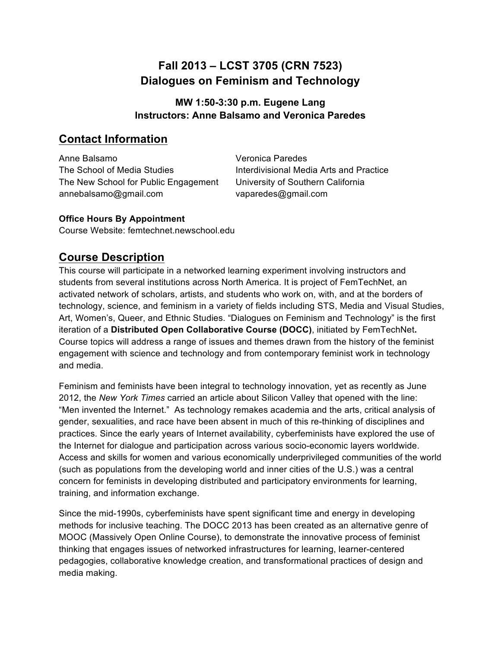# **Fall 2013 – LCST 3705 (CRN 7523) Dialogues on Feminism and Technology**

## **MW 1:50-3:30 p.m. Eugene Lang Instructors: Anne Balsamo and Veronica Paredes**

## **Contact Information**

Anne Balsamo The School of Media Studies The New School for Public Engagement annebalsamo@gmail.com

Veronica Paredes Interdivisional Media Arts and Practice University of Southern California vaparedes@gmail.com

## **Office Hours By Appointment**

Course Website: femtechnet.newschool.edu

# **Course Description**

This course will participate in a networked learning experiment involving instructors and students from several institutions across North America. It is project of FemTechNet, an activated network of scholars, artists, and students who work on, with, and at the borders of technology, science, and feminism in a variety of fields including STS, Media and Visual Studies, Art, Women's, Queer, and Ethnic Studies. "Dialogues on Feminism and Technology" is the first iteration of a **Distributed Open Collaborative Course (DOCC)**, initiated by FemTechNet**.** Course topics will address a range of issues and themes drawn from the history of the feminist engagement with science and technology and from contemporary feminist work in technology and media.

Feminism and feminists have been integral to technology innovation, yet as recently as June 2012, the *New York Times* carried an article about Silicon Valley that opened with the line: "Men invented the Internet." As technology remakes academia and the arts, critical analysis of gender, sexualities, and race have been absent in much of this re-thinking of disciplines and practices. Since the early years of Internet availability, cyberfeminists have explored the use of the Internet for dialogue and participation across various socio-economic layers worldwide. Access and skills for women and various economically underprivileged communities of the world (such as populations from the developing world and inner cities of the U.S.) was a central concern for feminists in developing distributed and participatory environments for learning, training, and information exchange.

Since the mid-1990s, cyberfeminists have spent significant time and energy in developing methods for inclusive teaching. The DOCC 2013 has been created as an alternative genre of MOOC (Massively Open Online Course), to demonstrate the innovative process of feminist thinking that engages issues of networked infrastructures for learning, learner-centered pedagogies, collaborative knowledge creation, and transformational practices of design and media making.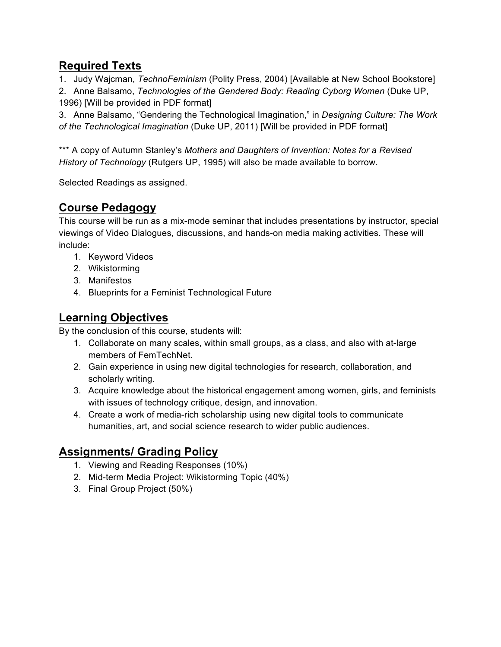# **Required Texts**

1. Judy Wajcman, *TechnoFeminism* (Polity Press, 2004) [Available at New School Bookstore]

2. Anne Balsamo, *Technologies of the Gendered Body: Reading Cyborg Women* (Duke UP, 1996) [Will be provided in PDF format]

3. Anne Balsamo, "Gendering the Technological Imagination," in *Designing Culture: The Work of the Technological Imagination* (Duke UP, 2011) [Will be provided in PDF format]

\*\*\* A copy of Autumn Stanley's *Mothers and Daughters of Invention: Notes for a Revised History of Technology* (Rutgers UP, 1995) will also be made available to borrow.

Selected Readings as assigned.

# **Course Pedagogy**

This course will be run as a mix-mode seminar that includes presentations by instructor, special viewings of Video Dialogues, discussions, and hands-on media making activities. These will include:

- 1. Keyword Videos
- 2. Wikistorming
- 3. Manifestos
- 4. Blueprints for a Feminist Technological Future

# **Learning Objectives**

By the conclusion of this course, students will:

- 1. Collaborate on many scales, within small groups, as a class, and also with at-large members of FemTechNet.
- 2. Gain experience in using new digital technologies for research, collaboration, and scholarly writing.
- 3. Acquire knowledge about the historical engagement among women, girls, and feminists with issues of technology critique, design, and innovation.
- 4. Create a work of media-rich scholarship using new digital tools to communicate humanities, art, and social science research to wider public audiences.

# **Assignments/ Grading Policy**

- 1. Viewing and Reading Responses (10%)
- 2. Mid-term Media Project: Wikistorming Topic (40%)
- 3. Final Group Project (50%)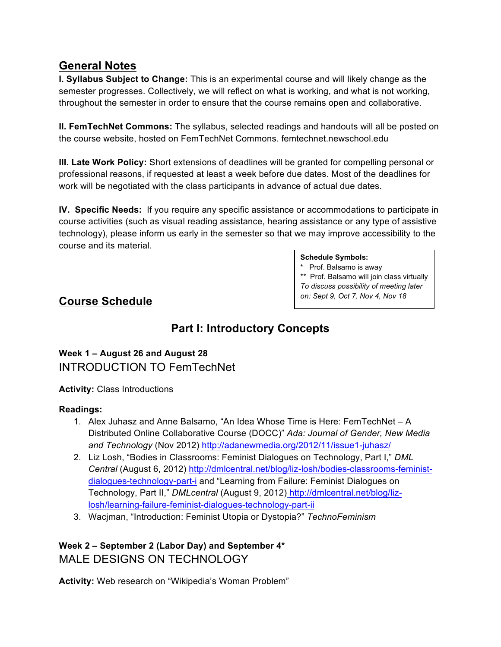## **General Notes**

**I. Syllabus Subject to Change:** This is an experimental course and will likely change as the semester progresses. Collectively, we will reflect on what is working, and what is not working, throughout the semester in order to ensure that the course remains open and collaborative.

**II. FemTechNet Commons:** The syllabus, selected readings and handouts will all be posted on the course website, hosted on FemTechNet Commons. femtechnet.newschool.edu

**III. Late Work Policy:** Short extensions of deadlines will be granted for compelling personal or professional reasons, if requested at least a week before due dates. Most of the deadlines for work will be negotiated with the class participants in advance of actual due dates.

**IV. Specific Needs:** If you require any specific assistance or accommodations to participate in course activities (such as visual reading assistance, hearing assistance or any type of assistive technology), please inform us early in the semester so that we may improve accessibility to the course and its material.

#### **Schedule Symbols:**

\* Prof. Balsamo is away \*\* Prof. Balsamo will join class virtually *To discuss possibility of meeting later on: Sept 9, Oct 7, Nov 4, Nov 18*

## **Course Schedule**

# **Part I: Introductory Concepts**

**Week 1 – August 26 and August 28**  INTRODUCTION TO FemTechNet

**Activity:** Class Introductions

#### **Readings:**

- 1. Alex Juhasz and Anne Balsamo, "An Idea Whose Time is Here: FemTechNet A Distributed Online Collaborative Course (DOCC)" *Ada: Journal of Gender, New Media and Technology* (Nov 2012) http://adanewmedia.org/2012/11/issue1-juhasz/
- 2. Liz Losh, "Bodies in Classrooms: Feminist Dialogues on Technology, Part I," *DML Central* (August 6, 2012) http://dmlcentral.net/blog/liz-losh/bodies-classrooms-feministdialogues-technology-part-i and "Learning from Failure: Feminist Dialogues on Technology, Part II," *DMLcentral* (August 9, 2012) http://dmlcentral.net/blog/lizlosh/learning-failure-feminist-dialogues-technology-part-ii
- 3. Wacjman, "Introduction: Feminist Utopia or Dystopia?" *TechnoFeminism*

## **Week 2 – September 2 (Labor Day) and September 4\***  MALE DESIGNS ON TECHNOLOGY

**Activity:** Web research on "Wikipedia's Woman Problem"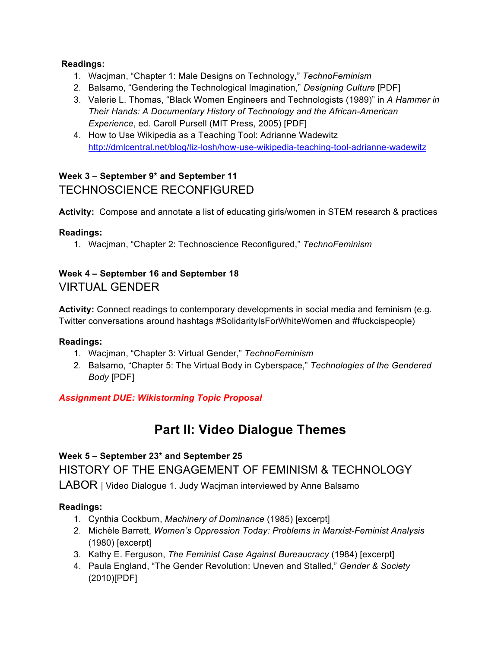#### **Readings:**

- 1. Wacjman, "Chapter 1: Male Designs on Technology," *TechnoFeminism*
- 2. Balsamo, "Gendering the Technological Imagination," *Designing Culture* [PDF]
- 3. Valerie L. Thomas, "Black Women Engineers and Technologists (1989)" in *A Hammer in Their Hands: A Documentary History of Technology and the African-American Experience*, ed. Caroll Pursell (MIT Press, 2005) [PDF]
- 4. How to Use Wikipedia as a Teaching Tool: Adrianne Wadewitz http://dmlcentral.net/blog/liz-losh/how-use-wikipedia-teaching-tool-adrianne-wadewitz

## **Week 3 – September 9\* and September 11** TECHNOSCIENCE RECONFIGURED

**Activity:** Compose and annotate a list of educating girls/women in STEM research & practices

## **Readings:**

1. Wacjman, "Chapter 2: Technoscience Reconfigured," *TechnoFeminism*

## **Week 4 – September 16 and September 18**  VIRTUAL GENDER

**Activity:** Connect readings to contemporary developments in social media and feminism (e.g. Twitter conversations around hashtags #SolidarityIsForWhiteWomen and #fuckcispeople)

#### **Readings:**

- 1. Wacjman, "Chapter 3: Virtual Gender," *TechnoFeminism*
- 2. Balsamo, "Chapter 5: The Virtual Body in Cyberspace," *Technologies of the Gendered Body* [PDF]

## *Assignment DUE: Wikistorming Topic Proposal*

# **Part II: Video Dialogue Themes**

# **Week 5 – September 23\* and September 25**  HISTORY OF THE ENGAGEMENT OF FEMINISM & TECHNOLOGY

LABOR | Video Dialogue 1. Judy Wacjman interviewed by Anne Balsamo

## **Readings:**

- 1. Cynthia Cockburn, *Machinery of Dominance* (1985) [excerpt]
- 2. Michèle Barrett, *Women's Oppression Today: Problems in Marxist-Feminist Analysis* (1980) [excerpt]
- 3. Kathy E. Ferguson, *The Feminist Case Against Bureaucracy* (1984) [excerpt]
- 4. Paula England, "The Gender Revolution: Uneven and Stalled," *Gender & Society*  (2010)[PDF]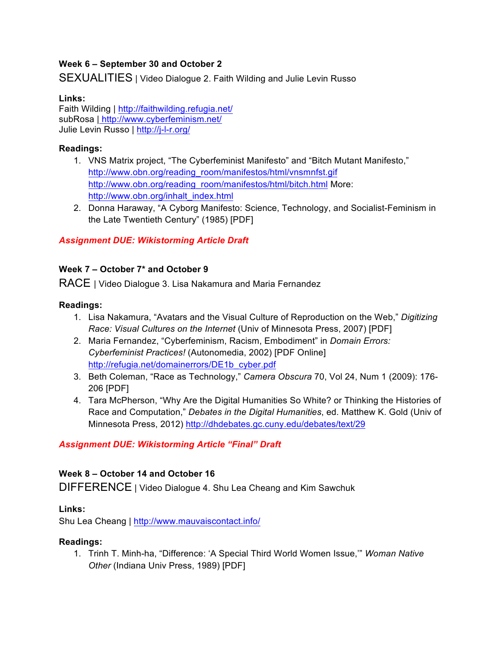#### **Week 6 – September 30 and October 2**

SEXUALITIES | Video Dialogue 2. Faith Wilding and Julie Levin Russo

#### **Links:**

Faith Wilding | http://faithwilding.refugia.net/ subRosa | http://www.cyberfeminism.net/ Julie Levin Russo | http://j-l-r.org/

#### **Readings:**

- 1. VNS Matrix project, "The Cyberfeminist Manifesto" and "Bitch Mutant Manifesto," http://www.obn.org/reading\_room/manifestos/html/vnsmnfst.gif http://www.obn.org/reading\_room/manifestos/html/bitch.html More: http://www.obn.org/inhalt\_index.html
- 2. Donna Haraway, "A Cyborg Manifesto: Science, Technology, and Socialist-Feminism in the Late Twentieth Century" (1985) [PDF]

#### *Assignment DUE: Wikistorming Article Draft*

#### **Week 7 – October 7\* and October 9**

RACE | Video Dialogue 3. Lisa Nakamura and Maria Fernandez

#### **Readings:**

- 1. Lisa Nakamura, "Avatars and the Visual Culture of Reproduction on the Web," *Digitizing Race: Visual Cultures on the Internet* (Univ of Minnesota Press, 2007) [PDF]
- 2. Maria Fernandez, "Cyberfeminism, Racism, Embodiment" in *Domain Errors: Cyberfeminist Practices!* (Autonomedia, 2002) [PDF Online] http://refugia.net/domainerrors/DE1b\_cyber.pdf
- 3. Beth Coleman, "Race as Technology," *Camera Obscura* 70, Vol 24, Num 1 (2009): 176- 206 [PDF]
- 4. Tara McPherson, "Why Are the Digital Humanities So White? or Thinking the Histories of Race and Computation," *Debates in the Digital Humanities*, ed. Matthew K. Gold (Univ of Minnesota Press, 2012) http://dhdebates.gc.cuny.edu/debates/text/29

#### *Assignment DUE: Wikistorming Article "Final" Draft*

#### **Week 8 – October 14 and October 16**

DIFFERENCE | Video Dialogue 4. Shu Lea Cheang and Kim Sawchuk

#### **Links:**

Shu Lea Cheang | http://www.mauvaiscontact.info/

#### **Readings:**

1. Trinh T. Minh-ha, "Difference: 'A Special Third World Women Issue,'" *Woman Native Other* (Indiana Univ Press, 1989) [PDF]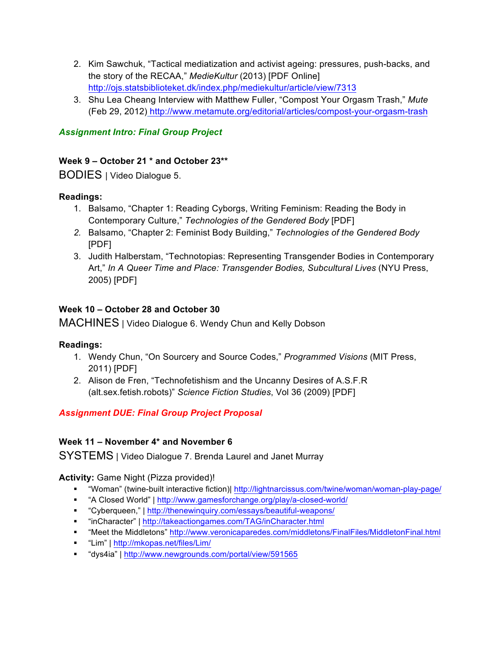- 2. Kim Sawchuk, "Tactical mediatization and activist ageing: pressures, push-backs, and the story of the RECAA," *MedieKultur* (2013) [PDF Online] http://ojs.statsbiblioteket.dk/index.php/mediekultur/article/view/7313
- 3. Shu Lea Cheang Interview with Matthew Fuller, "Compost Your Orgasm Trash," *Mute* (Feb 29, 2012) http://www.metamute.org/editorial/articles/compost-your-orgasm-trash

## *Assignment Intro: Final Group Project*

#### **Week 9 – October 21 \* and October 23\*\***

BODIES | Video Dialogue 5.

#### **Readings:**

- 1. Balsamo, "Chapter 1: Reading Cyborgs, Writing Feminism: Reading the Body in Contemporary Culture," *Technologies of the Gendered Body* [PDF]
- *2.* Balsamo, "Chapter 2: Feminist Body Building," *Technologies of the Gendered Body* [PDF]
- 3. Judith Halberstam, "Technotopias: Representing Transgender Bodies in Contemporary Art," *In A Queer Time and Place: Transgender Bodies, Subcultural Lives* (NYU Press, 2005) [PDF]

#### **Week 10 – October 28 and October 30**

MACHINES | Video Dialogue 6. Wendy Chun and Kelly Dobson

#### **Readings:**

- 1. Wendy Chun, "On Sourcery and Source Codes," *Programmed Visions* (MIT Press, 2011) [PDF]
- 2. Alison de Fren, "Technofetishism and the Uncanny Desires of A.S.F.R (alt.sex.fetish.robots)" *Science Fiction Studies*, Vol 36 (2009) [PDF]

#### *Assignment DUE: Final Group Project Proposal*

#### **Week 11 – November 4\* and November 6**

SYSTEMS | Video Dialogue 7. Brenda Laurel and Janet Murray

#### **Activity:** Game Night (Pizza provided)!

- " "Woman" (twine-built interactive fiction)| http://lightnarcissus.com/twine/woman/woman-play-page/
- "A Closed World" | http://www.gamesforchange.org/play/a-closed-world/
- "Cyberqueen," | http://thenewinquiry.com/essays/beautiful-weapons/
- "inCharacter" | http://takeactiongames.com/TAG/inCharacter.html
- " "Meet the Middletons" http://www.veronicaparedes.com/middletons/FinalFiles/MiddletonFinal.html
- " "Lim" | http://mkopas.net/files/Lim/
- "dys4ia" | http://www.newgrounds.com/portal/view/591565